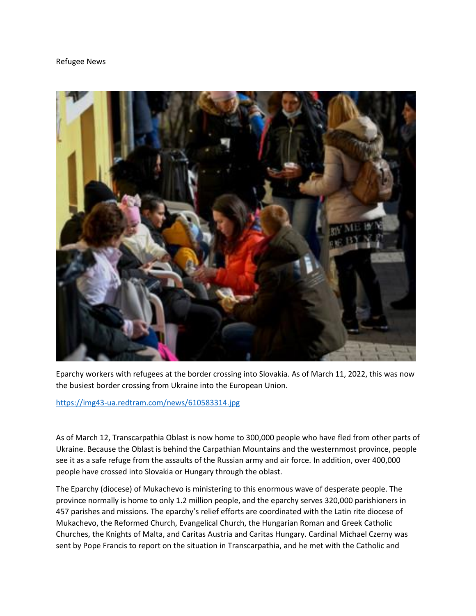## Refugee News



Eparchy workers with refugees at the border crossing into Slovakia. As of March 11, 2022, this was now the busiest border crossing from Ukraine into the European Union.

<https://img43-ua.redtram.com/news/610583314.jpg>

As of March 12, Transcarpathia Oblast is now home to 300,000 people who have fled from other parts of Ukraine. Because the Oblast is behind the Carpathian Mountains and the westernmost province, people see it as a safe refuge from the assaults of the Russian army and air force. In addition, over 400,000 people have crossed into Slovakia or Hungary through the oblast.

The Eparchy (diocese) of Mukachevo is ministering to this enormous wave of desperate people. The province normally is home to only 1.2 million people, and the eparchy serves 320,000 parishioners in 457 parishes and missions. The eparchy's relief efforts are coordinated with the Latin rite diocese of Mukachevo, the Reformed Church, Evangelical Church, the Hungarian Roman and Greek Catholic Churches, the Knights of Malta, and Caritas Austria and Caritas Hungary. Cardinal Michael Czerny was sent by Pope Francis to report on the situation in Transcarpathia, and he met with the Catholic and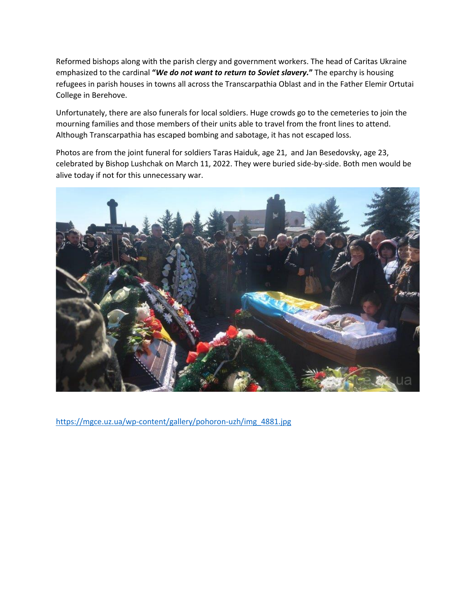Reformed bishops along with the parish clergy and government workers. The head of Caritas Ukraine emphasized to the cardinal **"***We do not want to return to Soviet slavery.***"** The eparchy is housing refugees in parish houses in towns all across the Transcarpathia Oblast and in the Father Elemir Ortutai College in Berehove.

Unfortunately, there are also funerals for local soldiers. Huge crowds go to the cemeteries to join the mourning families and those members of their units able to travel from the front lines to attend. Although Transcarpathia has escaped bombing and sabotage, it has not escaped loss.

Photos are from the joint funeral for soldiers Taras Haiduk, age 21, and Jan Besedovsky, age 23, celebrated by Bishop Lushchak on March 11, 2022. They were buried side-by-side. Both men would be alive today if not for this unnecessary war.



[https://mgce.uz.ua/wp-content/gallery/pohoron-uzh/img\\_4881.jpg](https://mgce.uz.ua/wp-content/gallery/pohoron-uzh/img_4881.jpg)